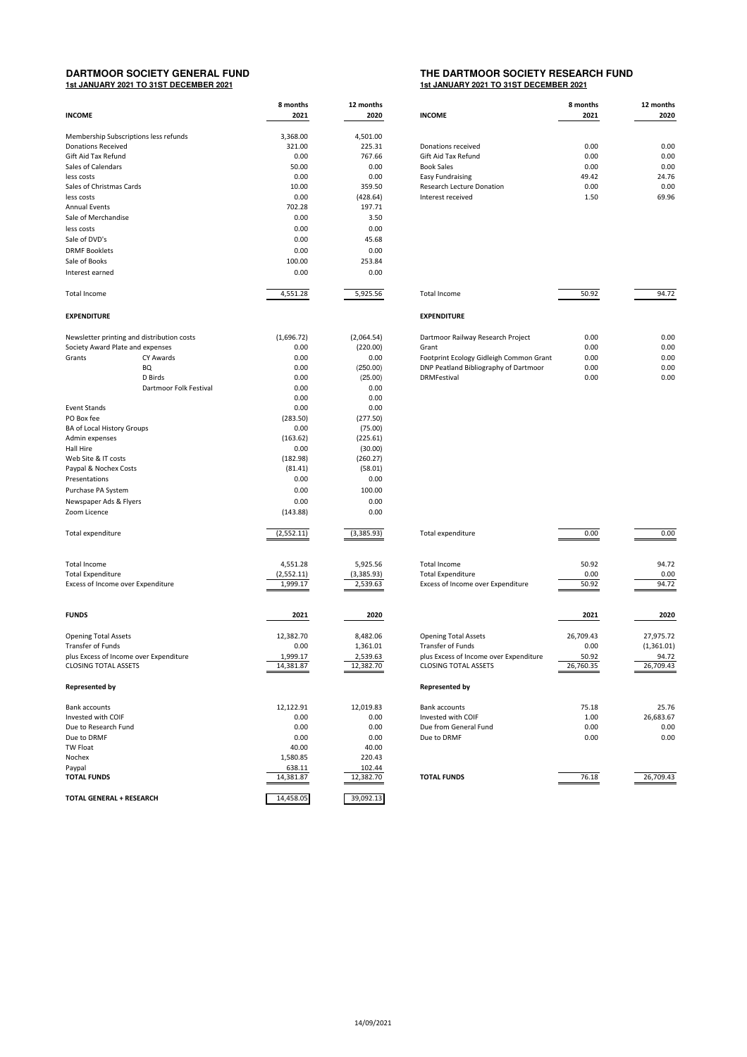## **1st JANUARY 2021 TO 31ST DECEMBER 2021 1st JANUARY 2021 TO 31ST DECEMBER 2021**

## **THE DARTMOOR SOCIETY RESEARCH FUND**<br>**1st JANUARY 2021 TO 31ST DECEMBER 2021**

| <b>INCOME</b>                                                      |                        | 8 months<br>2021  | 12 months<br><b>INCOME</b><br>2020 |                                         | 8 months<br>2021 | 12 months<br>2020 |  |
|--------------------------------------------------------------------|------------------------|-------------------|------------------------------------|-----------------------------------------|------------------|-------------------|--|
|                                                                    |                        | 3,368.00          | 4,501.00                           |                                         |                  |                   |  |
| Membership Subscriptions less refunds<br><b>Donations Received</b> |                        | 321.00            | 225.31                             | Donations received                      | 0.00             | 0.00              |  |
| Gift Aid Tax Refund                                                |                        | 0.00              | 767.66                             | Gift Aid Tax Refund                     | 0.00             | 0.00              |  |
| Sales of Calendars                                                 |                        | 50.00             | 0.00                               | <b>Book Sales</b>                       | 0.00             | 0.00              |  |
| less costs                                                         |                        | 0.00              | 0.00                               | <b>Easy Fundraising</b>                 | 49.42            | 24.76             |  |
| Sales of Christmas Cards                                           |                        | 10.00             | 359.50                             | Research Lecture Donation               | 0.00             | 0.00              |  |
| less costs                                                         |                        | 0.00              | (428.64)                           | Interest received                       | 1.50             | 69.96             |  |
| <b>Annual Events</b>                                               |                        | 702.28            | 197.71                             |                                         |                  |                   |  |
| Sale of Merchandise                                                |                        | 0.00              | 3.50                               |                                         |                  |                   |  |
| less costs                                                         |                        | 0.00              | 0.00                               |                                         |                  |                   |  |
| Sale of DVD's                                                      |                        | 0.00              | 45.68                              |                                         |                  |                   |  |
| <b>DRMF Booklets</b>                                               |                        | 0.00              | 0.00                               |                                         |                  |                   |  |
| Sale of Books                                                      |                        | 100.00            | 253.84                             |                                         |                  |                   |  |
| Interest earned                                                    |                        | 0.00              | 0.00                               |                                         |                  |                   |  |
| Total Income                                                       |                        | 4,551.28          | 5,925.56                           | <b>Total Income</b>                     | 50.92            | 94.72             |  |
| <b>EXPENDITURE</b>                                                 |                        |                   |                                    | <b>EXPENDITURE</b>                      |                  |                   |  |
| Newsletter printing and distribution costs                         |                        | (1,696.72)        | (2,064.54)                         | Dartmoor Railway Research Project       | 0.00             | 0.00              |  |
| Society Award Plate and expenses                                   |                        | 0.00              | (220.00)                           | Grant                                   | 0.00             | 0.00              |  |
| Grants                                                             | <b>CY Awards</b>       | 0.00              | 0.00                               | Footprint Ecology Gidleigh Common Grant | 0.00             | 0.00              |  |
|                                                                    | BQ                     | 0.00              | (250.00)                           | DNP Peatland Bibliography of Dartmoor   | 0.00             | 0.00              |  |
|                                                                    | D Birds                | 0.00              | (25.00)                            | <b>DRMFestival</b>                      | 0.00             | 0.00              |  |
|                                                                    | Dartmoor Folk Festival | 0.00              | 0.00                               |                                         |                  |                   |  |
|                                                                    |                        | 0.00              | 0.00                               |                                         |                  |                   |  |
| <b>Event Stands</b>                                                |                        | 0.00              | 0.00                               |                                         |                  |                   |  |
| PO Box fee                                                         |                        | (283.50)          | (277.50)                           |                                         |                  |                   |  |
| BA of Local History Groups                                         |                        | 0.00              | (75.00)                            |                                         |                  |                   |  |
| Admin expenses                                                     |                        | (163.62)          | (225.61)                           |                                         |                  |                   |  |
| Hall Hire                                                          |                        | 0.00              | (30.00)                            |                                         |                  |                   |  |
| Web Site & IT costs                                                |                        | (182.98)          | (260.27)                           |                                         |                  |                   |  |
| Paypal & Nochex Costs                                              |                        | (81.41)           | (58.01)                            |                                         |                  |                   |  |
| Presentations                                                      |                        | 0.00              | 0.00                               |                                         |                  |                   |  |
| Purchase PA System                                                 |                        | 0.00              | 100.00                             |                                         |                  |                   |  |
| Newspaper Ads & Flyers                                             |                        | 0.00              | 0.00                               |                                         |                  |                   |  |
| Zoom Licence                                                       |                        | (143.88)          | 0.00                               |                                         |                  |                   |  |
| Total expenditure                                                  |                        | (2,552.11)        | (3,385.93)                         | Total expenditure                       | 0.00             | 0.00              |  |
| Total Income                                                       |                        | 4,551.28          | 5,925.56                           | <b>Total Income</b>                     | 50.92            | 94.72             |  |
| <b>Total Expenditure</b>                                           |                        | (2,552.11)        | (3,385.93)                         | <b>Total Expenditure</b>                | 0.00             | 0.00              |  |
| Excess of Income over Expenditure                                  |                        | 1,999.17          | 2,539.63                           | Excess of Income over Expenditure       | 50.92            | 94.72             |  |
|                                                                    |                        |                   |                                    |                                         |                  |                   |  |
| <b>FUNDS</b>                                                       |                        | 2021              | 2020                               |                                         | 2021             | 2020              |  |
| <b>Opening Total Assets</b>                                        |                        | 12,382.70         | 8,482.06                           | <b>Opening Total Assets</b>             | 26,709.43        | 27,975.72         |  |
| Transfer of Funds                                                  |                        | 0.00              | 1,361.01                           | Transfer of Funds                       | 0.00             | (1,361.01)        |  |
| plus Excess of Income over Expenditure                             |                        | 1,999.17          | 2,539.63                           | plus Excess of Income over Expenditure  | 50.92            | 94.72             |  |
| <b>CLOSING TOTAL ASSETS</b>                                        |                        | 14,381.87         | 12,382.70                          | <b>CLOSING TOTAL ASSETS</b>             | 26,760.35        | 26.709.43         |  |
| <b>Represented by</b>                                              |                        |                   |                                    | <b>Represented by</b>                   |                  |                   |  |
| <b>Bank accounts</b>                                               |                        | 12,122.91         | 12,019.83                          | <b>Bank accounts</b>                    | 75.18            | 25.76             |  |
| Invested with COIF                                                 |                        | 0.00              | 0.00                               | Invested with COIF                      | 1.00             | 26,683.67         |  |
| Due to Research Fund                                               |                        | 0.00              | 0.00                               | Due from General Fund                   | 0.00             | 0.00              |  |
| Due to DRMF                                                        |                        | 0.00              | 0.00                               | Due to DRMF                             | 0.00             | 0.00              |  |
| <b>TW Float</b><br>Nochex                                          |                        | 40.00<br>1,580.85 | 40.00<br>220.43                    |                                         |                  |                   |  |
| Paypal                                                             |                        | 638.11            | 102.44                             |                                         |                  |                   |  |
| <b>TOTAL FUNDS</b>                                                 |                        | 14,381.87         | 12,382.70                          | <b>TOTAL FUNDS</b>                      | 76.18            | 26,709.43         |  |
| TOTAL GENERAL + RESEARCH                                           |                        | 14,458.05         | 39,092.13                          |                                         |                  |                   |  |

| 8 months<br>2021 | 12 months<br>2020 | <b>INCOME</b>                    | 8 months<br>2021 | 12 months<br>2020 |
|------------------|-------------------|----------------------------------|------------------|-------------------|
|                  |                   |                                  |                  |                   |
| 3,368.00         | 4.501.00          |                                  |                  |                   |
| 321.00           | 225.31            | Donations received               | 0.00             | 0.00              |
| 0.00             | 767.66            | Gift Aid Tax Refund              | 0.00             | 0.00              |
| 50.00            | 0.00              | <b>Book Sales</b>                | 0.00             | 0.00              |
| 0.00             | 0.00              | Easy Fundraising                 | 49.42            | 24.76             |
| 10.00            | 359.50            | <b>Research Lecture Donation</b> | 0.00             | 0.00              |
| 0.00             | (428.64)          | Interest received                | 1.50             | 69.96             |
| 702.20           | 10771             |                                  |                  |                   |

| Total Income                            | 50.92 | 94.72 |
|-----------------------------------------|-------|-------|
| <b>EXPENDITURE</b>                      |       |       |
| Dartmoor Railway Research Project       | 0.00  | 0.00  |
| Grant                                   | 0.00  | 0.00  |
| Footprint Ecology Gidleigh Common Grant | 0.00  | 0.00  |
| DNP Peatland Bibliography of Dartmoor   | 0.00  | 0.00  |
| <b>DRMFestival</b>                      | 0.00  | 0.00  |

| <b>Total expenditure</b>                                                                                                                                  | 0.00                                    | 0.00                                          |
|-----------------------------------------------------------------------------------------------------------------------------------------------------------|-----------------------------------------|-----------------------------------------------|
| <b>Total Income</b><br><b>Total Expenditure</b><br>Excess of Income over Expenditure                                                                      | 50.92<br>0.00<br>50.92                  | 94.72<br>0.00<br>94.72                        |
|                                                                                                                                                           | 2021                                    | 2020                                          |
| <b>Opening Total Assets</b><br><b>Transfer of Funds</b><br>plus Excess of Income over Expenditure<br><b>CLOSING TOTAL ASSETS</b><br><b>Represented by</b> | 26,709.43<br>0.00<br>50.92<br>26,760.35 | 27,975.72<br>(1,361.01)<br>94.72<br>26,709.43 |
| <b>Bank accounts</b><br>Invested with COIF<br>Due from General Fund<br>Due to DRMF                                                                        | 75.18<br>1.00<br>0.00<br>0.00           | 25.76<br>26,683.67<br>0.00<br>0.00            |
| <b>TOTAL FUNDS</b>                                                                                                                                        | 76.18                                   | 26,709.43                                     |